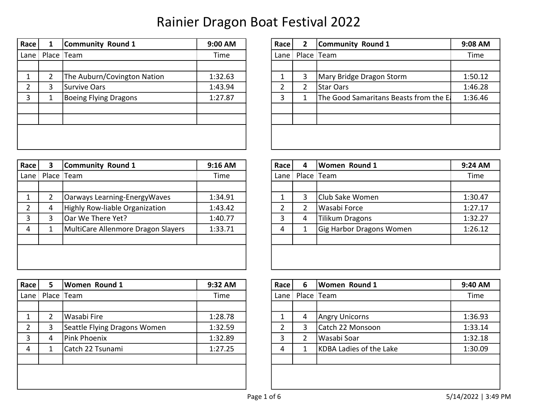| Race     | Community Round 1            | 9:00 AM | Race $ $ | 2 | Community Round 1                     | 9:08 AM |
|----------|------------------------------|---------|----------|---|---------------------------------------|---------|
| Lane $ $ | Place Team                   | Time    | Lane I   |   | Place Team                            | Time    |
|          |                              |         |          |   |                                       |         |
|          | The Auburn/Covington Nation  | 1:32.63 |          | 3 | Mary Bridge Dragon Storm              | 1:50.12 |
|          | Survive Oars                 | 1:43.94 |          |   | Star Oars                             | 1:46.28 |
| 3        | <b>Boeing Flying Dragons</b> | 1:27.87 | 3        |   | The Good Samaritans Beasts from the E | 1:36.46 |
|          |                              |         |          |   |                                       |         |
|          |                              |         |          |   |                                       |         |
|          |                              |         |          |   |                                       |         |
|          |                              |         |          |   |                                       |         |

| Race | $\mathbf{2}$ | <b>Community Round 1</b>              | 9:08 AM |
|------|--------------|---------------------------------------|---------|
| Lane | Place   Team |                                       | Time    |
|      |              |                                       |         |
| 1    | 3            | Mary Bridge Dragon Storm              | 1:50.12 |
| 2    | 2            | Star Oars                             | 1:46.28 |
| 3    | 1            | The Good Samaritans Beasts from the E | 1:36.46 |
|      |              |                                       |         |
|      |              |                                       |         |
|      |              |                                       |         |
|      |              |                                       |         |

| Race | З | Community Round 1                  | 9:16 AM | Race   | 4 | <b>Women Round 1</b>            | 9:24 AM |
|------|---|------------------------------------|---------|--------|---|---------------------------------|---------|
| Lane |   | Place Team                         | Time    | Lane I |   | Place Team                      | Time    |
|      |   |                                    |         |        |   |                                 |         |
|      |   | Oarways Learning-EnergyWaves       | 1:34.91 |        |   | Club Sake Women                 | 1:30.47 |
| ົ    | 4 | Highly Row-liable Organization     | 1:43.42 |        | 2 | Wasabi Force                    | 1:27.17 |
|      |   | Oar We There Yet?                  | 1:40.77 | 3      | 4 | <b>Tilikum Dragons</b>          | 1:32.27 |
| 4    |   | MultiCare Allenmore Dragon Slayers | 1:33.71 | 4      |   | <b>Gig Harbor Dragons Women</b> | 1:26.12 |
|      |   |                                    |         |        |   |                                 |         |
|      |   |                                    |         |        |   |                                 |         |
|      |   |                                    |         |        |   |                                 |         |

| Race | 5 | <b>Women Round 1</b>         | 9:32 AM | Race     | 6 | Women Round 1                  | 9:40 AM |
|------|---|------------------------------|---------|----------|---|--------------------------------|---------|
| Lane |   | Place Team                   | Time    | Lane $ $ |   | Place Team                     | Time    |
|      |   |                              |         |          |   |                                |         |
|      |   | Wasabi Fire                  | 1:28.78 |          | 4 | <b>Angry Unicorns</b>          | 1:36.93 |
|      | 3 | Seattle Flying Dragons Women | 1:32.59 |          | 3 | Catch 22 Monsoon               | 1:33.14 |
| 3    | 4 | Pink Phoenix                 | 1:32.89 | 3        |   | Wasabi Soar                    | 1:32.18 |
| 4    |   | Catch 22 Tsunami             | 1:27.25 | 4        |   | <b>KDBA Ladies of the Lake</b> | 1:30.09 |
|      |   |                              |         |          |   |                                |         |
|      |   |                              |         |          |   |                                |         |
|      |   |                              |         |          |   |                                |         |

| Race           | 4 | Women Round 1            | 9:24 AM |
|----------------|---|--------------------------|---------|
| Lane           |   | Place   Team             | Time    |
|                |   |                          |         |
| 1              | 3 | Club Sake Women          | 1:30.47 |
| $\overline{2}$ | 2 | Wasabi Force             | 1:27.17 |
| 3              | 4 | <b>Tilikum Dragons</b>   | 1:32.27 |
| 4              | 1 | Gig Harbor Dragons Women | 1:26.12 |
|                |   |                          |         |
|                |   |                          |         |
|                |   |                          |         |

| Race | 6          | Women Round 1           | 9:40 AM |
|------|------------|-------------------------|---------|
| Lane | Place Team |                         | Time    |
|      |            |                         |         |
| 1    | 4          | <b>Angry Unicorns</b>   | 1:36.93 |
| 2    | 3          | Catch 22 Monsoon        | 1:33.14 |
| 3    | 2          | Wasabi Soar             | 1:32.18 |
| 4    | 1          | KDBA Ladies of the Lake | 1:30.09 |
|      |            |                         |         |
|      |            |                         |         |
|      |            |                         |         |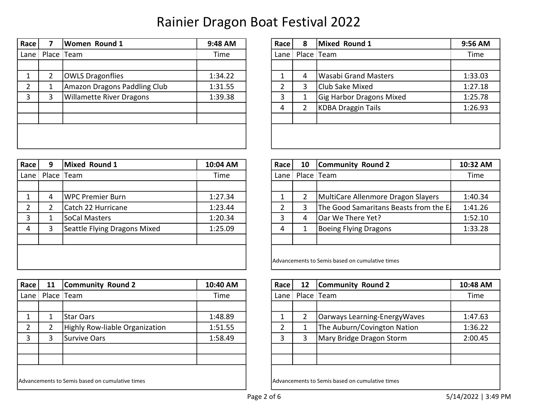| Lane |   |                                 | 9:48 AM | Race   | 8 | Mixed Round 1                   | 9:56 AM |
|------|---|---------------------------------|---------|--------|---|---------------------------------|---------|
|      |   | Place Team                      | Time    | Lane I |   | Place Team                      |         |
|      |   |                                 |         |        |   |                                 |         |
|      |   | <b>OWLS Dragonflies</b>         | 1:34.22 |        | 4 | Wasabi Grand Masters            | 1:33.03 |
|      |   | Amazon Dragons Paddling Club    | 1:31.55 |        | 3 | Club Sake Mixed                 | 1:27.18 |
|      | 3 | <b>Willamette River Dragons</b> | 1:39.38 |        |   | <b>Gig Harbor Dragons Mixed</b> | 1:25.78 |
|      |   |                                 |         | 4      |   | <b>KDBA Draggin Tails</b>       | 1:26.93 |
|      |   |                                 |         |        |   |                                 |         |

| Race           | 8              | <b>Mixed Round 1</b>            | 9:56 AM |
|----------------|----------------|---------------------------------|---------|
| Lane           |                | Place Team                      | Time    |
|                |                |                                 |         |
| 1              | 4              | <b>Wasabi Grand Masters</b>     | 1:33.03 |
| $\overline{2}$ | 3              | Club Sake Mixed                 | 1:27.18 |
| 3              | 1              | <b>Gig Harbor Dragons Mixed</b> | 1:25.78 |
| 4              | $\overline{2}$ | <b>KDBA Draggin Tails</b>       | 1:26.93 |
|                |                |                                 |         |
|                |                |                                 |         |
|                |                |                                 |         |

|   | Mixed Round 1      | 10:04 AM                                                       | Race | 10 | Community Round 2                      | 10:32 AM                                                      |
|---|--------------------|----------------------------------------------------------------|------|----|----------------------------------------|---------------------------------------------------------------|
|   |                    | Time                                                           |      |    |                                        | Time                                                          |
|   |                    |                                                                |      |    |                                        |                                                               |
| 4 |                    | 1:27.34                                                        |      |    | MultiCare Allenmore Dragon Slayers     | 1:40.34                                                       |
|   | Catch 22 Hurricane | 1:23.44                                                        |      | 3  | The Good Samaritans Beasts from the El | 1:41.26                                                       |
|   | SoCal Masters      | 1:20.34                                                        |      | 4  | Oar We There Yet?                      | 1:52.10                                                       |
| 3 |                    | 1:25.09                                                        | 4    |    | Boeing Flying Dragons                  | 1:33.28                                                       |
|   |                    |                                                                |      |    |                                        |                                                               |
|   |                    |                                                                |      |    |                                        |                                                               |
|   |                    |                                                                |      |    |                                        |                                                               |
|   |                    | Place Team<br>WPC Premier Burn<br>Seattle Flying Dragons Mixed |      |    | Lane                                   | Place Team<br>Advancements to Semis based on cumulative times |

| Race     | 11 | Community Round 2                               | 10:40 AM | Race   | 12 | <b>Community Round 2</b>                        | 10:48 AM |
|----------|----|-------------------------------------------------|----------|--------|----|-------------------------------------------------|----------|
| Lane $ $ |    | Place Team                                      | Time     | Lane I |    | Place Team                                      | Time     |
|          |    |                                                 |          |        |    |                                                 |          |
|          |    | <b>Star Oars</b>                                | 1:48.89  |        |    | Oarways Learning-EnergyWaves                    | 1:47.63  |
|          |    | Highly Row-liable Organization                  | 1:51.55  |        |    | The Auburn/Covington Nation                     | 1:36.22  |
|          |    | Survive Oars                                    | 1:58.49  |        | 3  | Mary Bridge Dragon Storm                        | 2:00.45  |
|          |    |                                                 |          |        |    |                                                 |          |
|          |    |                                                 |          |        |    |                                                 |          |
|          |    |                                                 |          |        |    |                                                 |          |
|          |    | Advancements to Semis based on cumulative times |          |        |    | Advancements to Semis based on cumulative times |          |

| Race           | 10             | <b>Community Round 2</b>                        | 10:32 AM |
|----------------|----------------|-------------------------------------------------|----------|
| Lane           | Place   Team   |                                                 | Time     |
|                |                |                                                 |          |
| 1              | $\overline{2}$ | MultiCare Allenmore Dragon Slayers              | 1:40.34  |
| $\overline{2}$ | 3              | The Good Samaritans Beasts from the E           | 1:41.26  |
| 3              | 4              | Oar We There Yet?                               | 1:52.10  |
| 4              | 1              | <b>Boeing Flying Dragons</b>                    | 1:33.28  |
|                |                |                                                 |          |
|                |                |                                                 |          |
|                |                | Advancements to Semis based on cumulative times |          |

| Race           | 12 | <b>Community Round 2</b>     | 10:48 AM |
|----------------|----|------------------------------|----------|
| Lane           |    | Place Team                   | Time     |
|                |    |                              |          |
| 1              | 2  | Oarways Learning-EnergyWaves | 1:47.63  |
| $\overline{2}$ | 1  | The Auburn/Covington Nation  | 1:36.22  |
| 3              | 3  | Mary Bridge Dragon Storm     | 2:00.45  |
|                |    |                              |          |
|                |    |                              |          |
|                |    |                              |          |

Advancements to Semis based on cumulative times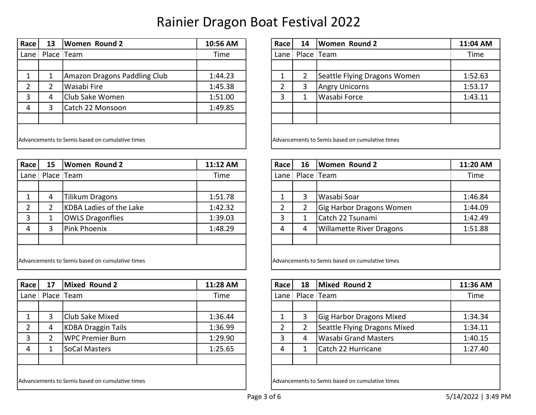| Race         | 13 | Women Round 2                                   | 10:56 AM | Race   | 14 | <b>Women Round 2</b>                            | 11:04 AM |
|--------------|----|-------------------------------------------------|----------|--------|----|-------------------------------------------------|----------|
| Lane $\vert$ |    | Place Team                                      | Time     | Lane I |    | Place Team                                      | Time     |
|              |    |                                                 |          |        |    |                                                 |          |
|              |    | Amazon Dragons Paddling Club                    | 1:44.23  |        | 2  | Seattle Flying Dragons Women                    | 1:52.63  |
|              |    | Wasabi Fire                                     | 1:45.38  |        | 3  | <b>Angry Unicorns</b>                           | 1:53.17  |
|              | 4  | Club Sake Women                                 | 1:51.00  |        |    | Wasabi Force                                    | 1:43.11  |
| 4            |    | Catch 22 Monsoon                                | 1:49.85  |        |    |                                                 |          |
|              |    |                                                 |          |        |    |                                                 |          |
|              |    |                                                 |          |        |    |                                                 |          |
|              |    | Advancements to Semis based on cumulative times |          |        |    | Advancements to Semis based on cumulative times |          |

| Race | 15 | Women Round 2                                   | 11:12 AM | Race | 16 | <b>Women Round 2</b>                            | 11:20 A |
|------|----|-------------------------------------------------|----------|------|----|-------------------------------------------------|---------|
| Lane |    | Place Team                                      | Time     | Lane |    | Place   Team                                    | Time    |
|      |    |                                                 |          |      |    |                                                 |         |
|      | 4  | <b>Tilikum Dragons</b>                          | 1:51.78  |      | 3  | Wasabi Soar                                     | 1:46.8  |
|      |    | KDBA Ladies of the Lake                         | 1:42.32  |      |    | Gig Harbor Dragons Women                        | 1:44.0  |
| 3    |    | <b>OWLS Dragonflies</b>                         | 1:39.03  |      |    | Catch 22 Tsunami                                | 1:42.4  |
| 4    |    | Pink Phoenix                                    | 1:48.29  | 4    | 4  | <b>Willamette River Dragons</b>                 | 1:51.8  |
|      |    |                                                 |          |      |    |                                                 |         |
|      |    |                                                 |          |      |    |                                                 |         |
|      |    | Advancements to Semis based on cumulative times |          |      |    | Advancements to Semis based on cumulative times |         |

| Race | 17                                              | Mixed Round 2      | 11:28 AM |  | Race l | 18 | Mixed Round 2                                   | 11:36 AM |
|------|-------------------------------------------------|--------------------|----------|--|--------|----|-------------------------------------------------|----------|
| Lane |                                                 | Place Team         | Time     |  | Lane I |    | Place Team                                      | Time     |
|      |                                                 |                    |          |  |        |    |                                                 |          |
|      |                                                 | Club Sake Mixed    | 1:36.44  |  |        | 3  | <b>Gig Harbor Dragons Mixed</b>                 | 1:34.34  |
|      | 4                                               | KDBA Draggin Tails | 1:36.99  |  |        | ำ  | Seattle Flying Dragons Mixed                    | 1:34.11  |
|      |                                                 | WPC Premier Burn   | 1:29.90  |  |        |    | Wasabi Grand Masters                            | 1:40.15  |
| 4    |                                                 | SoCal Masters      | 1:25.65  |  | 4      |    | Catch 22 Hurricane                              | 1:27.40  |
|      |                                                 |                    |          |  |        |    |                                                 |          |
|      |                                                 |                    |          |  |        |    |                                                 |          |
|      | Advancements to Semis based on cumulative times |                    |          |  |        |    | Advancements to Semis based on cumulative times |          |

| Race | 14                                              | <b>Women Round 2</b>         | 11:04 AM |  |  |  |  |  |  |  |  |
|------|-------------------------------------------------|------------------------------|----------|--|--|--|--|--|--|--|--|
| Lane |                                                 | Place Team                   | Time     |  |  |  |  |  |  |  |  |
|      |                                                 |                              |          |  |  |  |  |  |  |  |  |
| 1    | $\overline{2}$                                  | Seattle Flying Dragons Women | 1:52.63  |  |  |  |  |  |  |  |  |
| 2    | 3                                               | <b>Angry Unicorns</b>        | 1:53.17  |  |  |  |  |  |  |  |  |
| 3    | 1                                               | Wasabi Force                 | 1:43.11  |  |  |  |  |  |  |  |  |
|      |                                                 |                              |          |  |  |  |  |  |  |  |  |
|      |                                                 |                              |          |  |  |  |  |  |  |  |  |
|      |                                                 |                              |          |  |  |  |  |  |  |  |  |
|      | Advancements to Semis based on cumulative times |                              |          |  |  |  |  |  |  |  |  |

| Race l                                          | 15 | <b>Women Round 2</b>    | 11:12 AM |  | Race | 16                                              | <b>Women Round 2</b>            | 11:20 AM |
|-------------------------------------------------|----|-------------------------|----------|--|------|-------------------------------------------------|---------------------------------|----------|
| Lane $\parallel$                                |    | Place Team              | Time     |  | Lane |                                                 | Place Team                      | Time     |
|                                                 |    |                         |          |  |      |                                                 |                                 |          |
|                                                 | 4  | Tilikum Dragons         | 1:51.78  |  |      | 3                                               | Wasabi Soar                     | 1:46.84  |
| $\overline{2}$                                  |    | KDBA Ladies of the Lake | 1:42.32  |  |      | າ                                               | Gig Harbor Dragons Women        | 1:44.09  |
| 3                                               |    | <b>OWLS Dragonflies</b> | 1:39.03  |  |      |                                                 | Catch 22 Tsunami                | 1:42.49  |
| $\overline{4}$                                  |    | Pink Phoenix            | 1:48.29  |  | 4    | 4                                               | <b>Willamette River Dragons</b> | 1:51.88  |
|                                                 |    |                         |          |  |      |                                                 |                                 |          |
|                                                 |    |                         |          |  |      |                                                 |                                 |          |
| Advancements to Semis based on cumulative times |    |                         |          |  |      | Advancements to Semis based on cumulative times |                                 |          |

| Race          | 18 | Mixed Round 2                | 11:36 AM |
|---------------|----|------------------------------|----------|
| Lane          |    | Place   Team                 | Time     |
|               |    |                              |          |
| 1             | 3  | Gig Harbor Dragons Mixed     | 1:34.34  |
| $\mathcal{P}$ | 2  | Seattle Flying Dragons Mixed | 1:34.11  |
| 3             | 4  | <b>Wasabi Grand Masters</b>  | 1:40.15  |
| 4             | 1  | Catch 22 Hurricane           | 1:27.40  |
|               |    |                              |          |
|               |    |                              |          |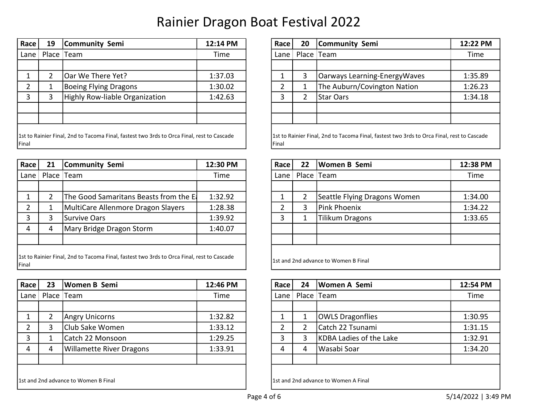| <b>Race</b> | 19 | Community Semi                                                                             | 12:14 PM | Race          | 20 | Community Semi                                                                             | 12:22 PM |
|-------------|----|--------------------------------------------------------------------------------------------|----------|---------------|----|--------------------------------------------------------------------------------------------|----------|
| Lane $ $    |    | Place Team                                                                                 | Time     | Lane          |    | Place Team                                                                                 | Time     |
|             |    |                                                                                            |          |               |    |                                                                                            |          |
|             |    | Oar We There Yet?                                                                          | 1:37.03  |               | 3  | Oarways Learning-EnergyWaves                                                               | 1:35.89  |
|             |    | Boeing Flying Dragons                                                                      | 1:30.02  |               |    | The Auburn/Covington Nation                                                                | 1:26.23  |
|             | 3  | Highly Row-liable Organization                                                             | 1:42.63  | 3             | ำ  | <b>Star Oars</b>                                                                           | 1:34.18  |
|             |    |                                                                                            |          |               |    |                                                                                            |          |
|             |    |                                                                                            |          |               |    |                                                                                            |          |
| Final       |    | 1st to Rainier Final, 2nd to Tacoma Final, fastest two 3rds to Orca Final, rest to Cascade |          | <b>IFinal</b> |    | 1st to Rainier Final, 2nd to Tacoma Final, fastest two 3rds to Orca Final, rest to Cascade |          |

| Race  | 21 | Community Semi                                                                             | 12:30 PM | Race | 22 | Women B Semi                          | 12:38 P |
|-------|----|--------------------------------------------------------------------------------------------|----------|------|----|---------------------------------------|---------|
| Lane  |    | Place Team                                                                                 | Time     | Lane |    | Place Team                            | Time    |
|       |    |                                                                                            |          |      |    |                                       |         |
|       |    | The Good Samaritans Beasts from the El                                                     | 1:32.92  |      |    | Seattle Flying Dragons Women          | 1:34.0  |
| າ     |    | MultiCare Allenmore Dragon Slayers                                                         | 1:28.38  |      | 3  | Pink Phoenix                          | 1:34.2  |
| 3     |    | Survive Oars                                                                               | 1:39.92  | 3    | 1  | <b>Tilikum Dragons</b>                | 1:33.6  |
| 4     | 4  | Mary Bridge Dragon Storm                                                                   | 1:40.07  |      |    |                                       |         |
|       |    |                                                                                            |          |      |    |                                       |         |
|       |    | 1st to Rainier Final, 2nd to Tacoma Final, fastest two 3rds to Orca Final, rest to Cascade |          |      |    | 11st and 2nd advance to Women B Final |         |
| Final |    |                                                                                            |          |      |    |                                       |         |

| Race   | 23                                   | Women B Semi                    | 12:46 PM | Race l | 24 | Women A Semi                          | 12:54 PM |
|--------|--------------------------------------|---------------------------------|----------|--------|----|---------------------------------------|----------|
| Lane I |                                      | Place Team                      | Time     | Lane   |    | Place Team                            | Time     |
|        |                                      |                                 |          |        |    |                                       |          |
|        |                                      | <b>Angry Unicorns</b>           | 1:32.82  |        |    | <b>OWLS Dragonflies</b>               | 1:30.95  |
|        |                                      | Club Sake Women                 | 1:33.12  |        | າ  | Catch 22 Tsunami                      | 1:31.15  |
| 3      | Т                                    | Catch 22 Monsoon                | 1:29.25  |        | 3  | KDBA Ladies of the Lake               | 1:32.91  |
| 4      | 4                                    | <b>Willamette River Dragons</b> | 1:33.91  | 4      | 4  | Wasabi Soar                           | 1:34.20  |
|        |                                      |                                 |          |        |    |                                       |          |
|        |                                      |                                 |          |        |    |                                       |          |
|        | 1st and 2nd advance to Women B Final |                                 |          |        |    | 11st and 2nd advance to Women A Final |          |

| ace            | 19 | Community Semi                                                                         | 12:14 PM | Race         | 20 | Community Semi                                                                             | 12:22 PM |
|----------------|----|----------------------------------------------------------------------------------------|----------|--------------|----|--------------------------------------------------------------------------------------------|----------|
| ne I           |    | Place Team                                                                             | Time     | Lane I       |    | Place Team                                                                                 | Time     |
|                |    |                                                                                        |          |              |    |                                                                                            |          |
|                |    | Oar We There Yet?                                                                      | 1:37.03  |              | 3  | Oarways Learning-EnergyWaves                                                               | 1:35.89  |
| $\overline{2}$ |    | Boeing Flying Dragons                                                                  | 1:30.02  | $\mathbf{D}$ |    | The Auburn/Covington Nation                                                                | 1:26.23  |
| 3              |    | Highly Row-liable Organization                                                         | 1:42.63  | 3            |    | Star Oars                                                                                  | 1:34.18  |
|                |    |                                                                                        |          |              |    |                                                                                            |          |
|                |    |                                                                                        |          |              |    |                                                                                            |          |
|                |    | to Rainier Final, 2nd to Tacoma Final, fastest two 3rds to Orca Final, rest to Cascade |          | Final        |    | 1st to Rainier Final, 2nd to Tacoma Final, fastest two 3rds to Orca Final, rest to Cascade |          |

| Race           | 21 | <b>Community Semi</b>                                                                      | 12:30 PM |  | Race | 22 | Women B Semi                          | 12:38 PM |  |  |
|----------------|----|--------------------------------------------------------------------------------------------|----------|--|------|----|---------------------------------------|----------|--|--|
| Lane $\vert$   |    | Place Team                                                                                 | Time     |  | Lane |    | Place Team                            | Time     |  |  |
|                |    |                                                                                            |          |  |      |    |                                       |          |  |  |
|                |    | The Good Samaritans Beasts from the El                                                     | 1:32.92  |  |      | 2  | Seattle Flying Dragons Women          | 1:34.00  |  |  |
| 2              |    | MultiCare Allenmore Dragon Slayers                                                         | 1:28.38  |  |      | 3  | Pink Phoenix                          | 1:34.22  |  |  |
| $\overline{3}$ | 3  | Survive Oars                                                                               | 1:39.92  |  |      |    | Tilikum Dragons                       | 1:33.65  |  |  |
| $\overline{4}$ | 4  | Mary Bridge Dragon Storm                                                                   | 1:40.07  |  |      |    |                                       |          |  |  |
|                |    |                                                                                            |          |  |      |    |                                       |          |  |  |
|                |    |                                                                                            |          |  |      |    |                                       |          |  |  |
| ∶inal          |    | Ist to Rainier Final, 2nd to Tacoma Final, fastest two 3rds to Orca Final, rest to Cascade |          |  |      |    | 11st and 2nd advance to Women B Final |          |  |  |

| ace            | 23 | Women B Semi                    | 12:46 PM | Race | 24 | Women A Semi            | 12:54 PM |
|----------------|----|---------------------------------|----------|------|----|-------------------------|----------|
| ane I          |    | Place Team                      | Time     | Lane |    | Place Team              | Time     |
|                |    |                                 |          |      |    |                         |          |
|                |    | Angry Unicorns                  | 1:32.82  |      |    | <b>OWLS Dragonflies</b> | 1:30.95  |
| $\overline{2}$ |    | Club Sake Women                 | 1:33.12  | ົາ   |    | Catch 22 Tsunami        | 1:31.15  |
| 3              |    | Catch 22 Monsoon                | 1:29.25  | ∍    |    | KDBA Ladies of the Lake | 1:32.91  |
| 4              | 4  | <b>Willamette River Dragons</b> | 1:33.91  | 4    | 4  | Wasabi Soar             | 1:34.20  |
|                |    |                                 |          |      |    |                         |          |
|                |    |                                 |          |      |    |                         |          |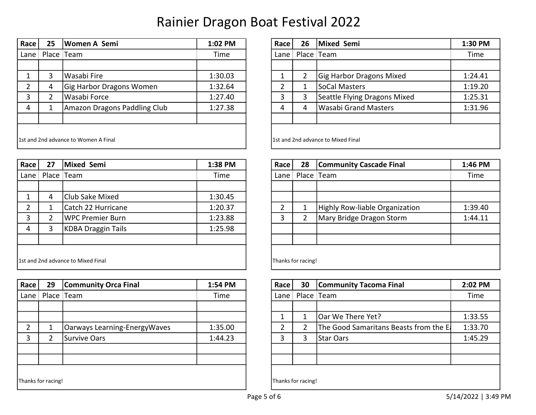| Race                                  | 25 | Women A Semi                 | 1:02 PM | Race   | 26 | Mixed Semi                          | 1:30 PM |
|---------------------------------------|----|------------------------------|---------|--------|----|-------------------------------------|---------|
| Lane $\vert$                          |    | Place Team                   | Time    | Lane I |    | Place Team                          | Time    |
|                                       |    |                              |         |        |    |                                     |         |
|                                       | 3  | Wasabi Fire                  | 1:30.03 |        | 2  | <b>Gig Harbor Dragons Mixed</b>     | 1:24.41 |
|                                       | 4  | Gig Harbor Dragons Women     | 1:32.64 |        |    | SoCal Masters                       | 1:19.20 |
|                                       |    | Wasabi Force                 | 1:27.40 |        | 3  | Seattle Flying Dragons Mixed        | 1:25.31 |
| 4                                     |    | Amazon Dragons Paddling Club | 1:27.38 | 4      | 4  | Wasabi Grand Masters                | 1:31.96 |
|                                       |    |                              |         |        |    |                                     |         |
|                                       |    |                              |         |        |    |                                     |         |
| 11st and 2nd advance to Women A Final |    |                              |         |        |    | 11st and 2nd advance to Mixed Final |         |

| Race                                | 27 | Mixed Semi                | 1:38 PM | Race               | 28 | <b>Community Cascade Final</b> | 1:46 PM |
|-------------------------------------|----|---------------------------|---------|--------------------|----|--------------------------------|---------|
| Lane                                |    | Place Team                | Time    | Lane I             |    | Place Team                     | Time    |
|                                     |    |                           |         |                    |    |                                |         |
|                                     | 4  | Club Sake Mixed           | 1:30.45 |                    |    |                                |         |
|                                     |    | Catch 22 Hurricane        | 1:20.37 | ำ                  |    | Highly Row-liable Organization | 1:39.40 |
| 3                                   |    | WPC Premier Burn          | 1:23.88 | 3                  |    | Mary Bridge Dragon Storm       | 1:44.11 |
| 4                                   |    | <b>KDBA Draggin Tails</b> | 1:25.98 |                    |    |                                |         |
|                                     |    |                           |         |                    |    |                                |         |
|                                     |    |                           |         |                    |    |                                |         |
| 11st and 2nd advance to Mixed Final |    |                           |         | Thanks for racing! |    |                                |         |

| Race          | 29                 | <b>Community Orca Final</b>  | 1:54 PM | Race | 30                 | <b>Community Tacoma Final</b>          | 2:02 PM |
|---------------|--------------------|------------------------------|---------|------|--------------------|----------------------------------------|---------|
| Lane          |                    | Place Team                   | Time    | Lane |                    | Place Team                             | Time    |
|               |                    |                              |         |      |                    |                                        |         |
|               |                    |                              |         |      |                    | Oar We There Yet?                      | 1:33.55 |
| $\mathcal{D}$ |                    | Oarways Learning-EnergyWaves | 1:35.00 |      |                    | The Good Samaritans Beasts from the E. | 1:33.70 |
| 3             |                    | Survive Oars                 | 1:44.23 |      | 3                  | <b>Star Oars</b>                       | 1:45.29 |
|               |                    |                              |         |      |                    |                                        |         |
|               |                    |                              |         |      |                    |                                        |         |
|               |                    |                              |         |      |                    |                                        |         |
|               | Thanks for racing! |                              |         |      | Thanks for racing! |                                        |         |
|               |                    |                              |         |      |                    |                                        |         |

| ace                              | 25         | Women A Semi                 | 1:02 PM | Race   | 26                                  | Mixed Semi                      | 1:30 PM |
|----------------------------------|------------|------------------------------|---------|--------|-------------------------------------|---------------------------------|---------|
| ne I                             | Place Team |                              | Time    | Lane I |                                     | Place Team                      | Time    |
|                                  |            |                              |         |        |                                     |                                 |         |
| $\mathbf 1$                      | 3          | lWasabi Fire                 | 1:30.03 |        |                                     | <b>Gig Harbor Dragons Mixed</b> | 1:24.41 |
| $\overline{2}$                   | 4          | Gig Harbor Dragons Women     | 1:32.64 | C      |                                     | SoCal Masters                   | 1:19.20 |
| 3                                |            | Wasabi Force                 | 1:27.40 | 3      |                                     | Seattle Flying Dragons Mixed    | 1:25.31 |
| 4                                |            | Amazon Dragons Paddling Club | 1:27.38 | 4      | 4                                   | <b>Wasabi Grand Masters</b>     | 1:31.96 |
|                                  |            |                              |         |        |                                     |                                 |         |
|                                  |            |                              |         |        |                                     |                                 |         |
| and 2nd advance to Women A Final |            |                              |         |        | 11st and 2nd advance to Mixed Final |                                 |         |

| Race               | 28 | <b>Community Cascade Final</b> | 1:46 PM |  |  |  |  |  |  |
|--------------------|----|--------------------------------|---------|--|--|--|--|--|--|
| Lane               |    | Place   Team                   | Time    |  |  |  |  |  |  |
|                    |    |                                |         |  |  |  |  |  |  |
|                    |    |                                |         |  |  |  |  |  |  |
| $\overline{2}$     | 1  | Highly Row-liable Organization | 1:39.40 |  |  |  |  |  |  |
| 3                  | 2  | Mary Bridge Dragon Storm       | 1:44.11 |  |  |  |  |  |  |
|                    |    |                                |         |  |  |  |  |  |  |
|                    |    |                                |         |  |  |  |  |  |  |
|                    |    |                                |         |  |  |  |  |  |  |
| Thanks for racing! |    |                                |         |  |  |  |  |  |  |

| Race           | 30                 | <b>Community Tacoma Final</b>          | 2:02 PM |  |  |  |  |  |  |
|----------------|--------------------|----------------------------------------|---------|--|--|--|--|--|--|
| Lane           |                    | Place   Team                           | Time    |  |  |  |  |  |  |
|                |                    |                                        |         |  |  |  |  |  |  |
| 1              | 1                  | Oar We There Yet?                      | 1:33.55 |  |  |  |  |  |  |
| $\overline{2}$ | 2                  | The Good Samaritans Beasts from the E. | 1:33.70 |  |  |  |  |  |  |
| 3              | 3                  | <b>Star Oars</b>                       | 1:45.29 |  |  |  |  |  |  |
|                |                    |                                        |         |  |  |  |  |  |  |
|                |                    |                                        |         |  |  |  |  |  |  |
|                |                    |                                        |         |  |  |  |  |  |  |
|                | Thanks for racing! |                                        |         |  |  |  |  |  |  |